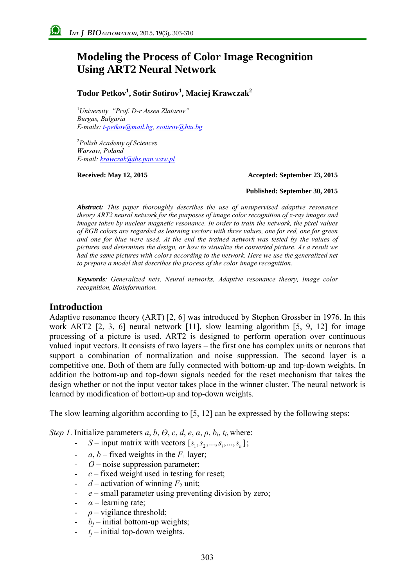# **Modeling the Process of Color Image Recognition Using ART2 Neural Network**

## **Todor Petkov1 , Sotir Sotirov<sup>1</sup> , Maciej Krawczak<sup>2</sup>**

1 *University "Prof. D-r Assen Zlatarov" Burgas, Bulgaria E-mails: t-petkov@mail.bg, ssotirov@btu.bg*

2 *Polish Academy of Sciences Warsaw, Poland E-mail: krawczak@ibs.pan.waw.pl*

#### **Received: May 12, 2015 Accepted: September 23, 2015**

#### **Published: September 30, 2015**

*Abstract: This paper thoroughly describes the use of unsupervised adaptive resonance theory ART2 neural network for the purposes of image color recognition of x-ray images and images taken by nuclear magnetic resonance. In order to train the network, the pixel values of RGB colors are regarded as learning vectors with three values, one for red, one for green and one for blue were used. At the end the trained network was tested by the values of pictures and determines the design, or how to visualize the converted picture. As a result we had the same pictures with colors according to the network. Here we use the generalized net to prepare a model that describes the process of the color image recognition.* 

*Keywords: Generalized nets, Neural networks, Adaptive resonance theory, Image color recognition, Bioinformation.* 

### **Introduction**

Adaptive resonance theory (ART) [2, 6] was introduced by Stephen Grossber in 1976. In this work ART2 [2, 3, 6] neural network [11], slow learning algorithm [5, 9, 12] for image processing of a picture is used. ART2 is designed to perform operation over continuous valued input vectors. It consists of two layers – the first one has complex units or neurons that support a combination of normalization and noise suppression. The second layer is a competitive one. Both of them are fully connected with bottom-up and top-down weights. In addition the bottom-up and top-down signals needed for the reset mechanism that takes the design whether or not the input vector takes place in the winner cluster. The neural network is learned by modification of bottom-up and top-down weights.

The slow learning algorithm according to [5, 12] can be expressed by the following steps:

*Step 1*. Initialize parameters  $a, b, \theta, c, d, e, \alpha, \rho, b_j, t_j$ , where:

- $S$  input matrix with vectors  $[s_1, s_2, ..., s_i, ..., s_n]$ ;
- *a*, *b* fixed weights in the  $F_1$  layer;
- $\theta$  noise suppression parameter;
- *c* fixed weight used in testing for reset;
- $-d$  activation of winning  $F_2$  unit;
- *e* small parameter using preventing division by zero;
- *α* learning rate;
- $\rho$  vigilance threshold;
- $b_i$  initial bottom-up weights;
- $t_i$  initial top-down weights.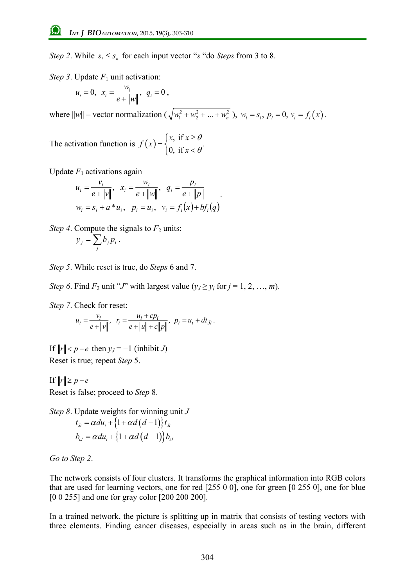*Step 2*. While  $s_i \leq s_n$  for each input vector "*s* "do *Steps* from 3 to 8.

*Step 3*. Update  $F_1$  unit activation:

$$
u_i = 0, \quad x_i = \frac{w_i}{e + ||w||}, \quad q_i = 0,
$$

where  $||w||$  – vector normalization  $(\sqrt{w_1^2 + w_2^2 + ... + w_n^2})$ ,  $w_i = s_i$ ,  $p_i = 0$ ,  $v_i = f_i(x)$ .

The activation function is  $f(x) = \begin{cases} x, & \text{if } \\ 0, & \text{if } \end{cases}$ 0, if  $x$ , if  $x$ *f x x* θ  $=\begin{cases} x, & \text{if } x \geq \theta \\ 0, & \text{if } x < \theta \end{cases}$  $\begin{cases} n, & n = 0 \\ 0, & \text{if } x < \theta \end{cases}$ 

Update  $F_1$  activations again

$$
u_i = \frac{v_i}{e + \|v\|}, \quad x_i = \frac{w_i}{e + \|w\|}, \quad q_i = \frac{p_i}{e + \|p\|}
$$
  

$$
w_i = s_i + a^* u_i, \quad p_i = u_i, \quad v_i = f_i(x) + b f_i(q)
$$

*Step 4*. Compute the signals to  $F_2$  units:  $=\sum_{j}$  $y_j = \sum b_j p_i$ .

*Step 5*. While reset is true, do *Steps* 6 and 7.

*Step 6*. Find  $F_2$  unit "*J*" with largest value  $(y_j \ge y_j \text{ for } j = 1, 2, ..., m)$ .

*Step 7*. Check for reset:

$$
u_i = \frac{v_i}{e + ||v||}, \ \ r_i = \frac{u_i + cp_i}{e + ||u|| + c||p||}, \ \ p_i = u_i + dt_{ji}.
$$

If  $||r|| < p - e$  then  $y_J = -1$  (inhibit *J*) Reset is true; repeat *Step* 5.

If  $||r|| \geq p - e$ Reset is false; proceed to *Step* 8.

*Step 8*. Update weights for winning unit *J*   $t_{\mu} = \alpha du_i + \{1 + \alpha d (d - 1)\} t_{\mu}$  $b_{ij} = \alpha du_i + \{1 + \alpha d (d - 1)\} b_{ij}$ 

*Go to Step 2*.

The network consists of four clusters. It transforms the graphical information into RGB colors that are used for learning vectors, one for red [255 0 0], one for green [0 255 0], one for blue [0 0 255] and one for gray color [200 200 200].

In a trained network, the picture is splitting up in matrix that consists of testing vectors with three elements. Finding cancer diseases, especially in areas such as in the brain, different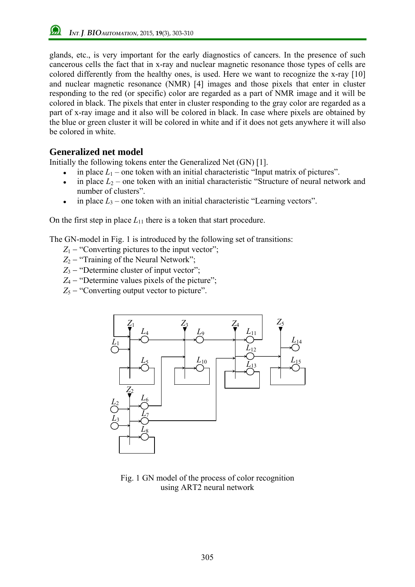*INT*.*J*. *BIOAUTOMATION*, 2015, **19**(3), 303-310

glands, etc., is very important for the early diagnostics of cancers. In the presence of such cancerous cells the fact that in x-ray and nuclear magnetic resonance those types of cells are colored differently from the healthy ones, is used. Here we want to recognize the x-ray [10] and nuclear magnetic resonance (NMR) [4] images and those pixels that enter in cluster responding to the red (or specific) color are regarded as a part of NMR image and it will be colored in black. The pixels that enter in cluster responding to the gray color are regarded as a part of x-ray image and it also will be colored in black. In case where pixels are obtained by the blue or green cluster it will be colored in white and if it does not gets anywhere it will also be colored in white.

# **Generalized net model**

Initially the following tokens enter the Generalized Net (GN) [1].

- $\bullet$  in place  $L_1$  one token with an initial characteristic "Input matrix of pictures".
- in place  $L_2$  one token with an initial characteristic "Structure of neural network and number of clusters".
- in place  $L_3$  one token with an initial characteristic "Learning vectors".

On the first step in place  $L_{11}$  there is a token that start procedure.

The GN-model in Fig. 1 is introduced by the following set of transitions:

- $Z_1$  "Converting pictures to the input vector";
- *Z*<sub>2</sub> − "Training of the Neural Network";
- *Z*<sub>3</sub> − "Determine cluster of input vector";
- *Z*<sub>4</sub> − "Determine values pixels of the picture";
- $Z_5$  "Converting output vector to picture".



Fig. 1 GN model of the process of color recognition using ART2 neural network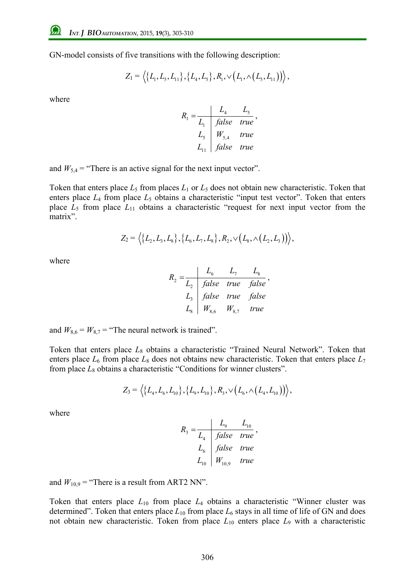GN-model consists of five transitions with the following description:

$$
Z_1 = \left\langle \left\{L_1, L_5, L_{11}\right\}, \left\{L_4, L_5\right\}, R_1, \vee \left(L_1, \wedge \left(L_5, L_{11}\right)\right)\right\rangle,
$$

where

$$
R_1 = \frac{L_4}{L_1} \frac{L_5}{false} \frac{L_5}{true}
$$
  

$$
L_5 = \frac{W_{5,4}}{false} \frac{true}{true}
$$

and  $W_{5,4}$  = "There is an active signal for the next input vector".

Token that enters place  $L_5$  from places  $L_1$  or  $L_5$  does not obtain new characteristic. Token that enters place  $L_4$  from place  $L_5$  obtains a characteristic "input test vector". Token that enters place  $L_5$  from place  $L_{11}$  obtains a characteristic "request for next input vector from the matrix".

$$
Z_2 = \langle \{L_2, L_3, L_8\}, \{L_6, L_7, L_8\}, R_2, \vee (L_8, \wedge (L_2, L_3)) \rangle,
$$

where

$$
R_2 = \frac{L_6}{L_2} \quad \frac{L_6}{false} \quad \frac{L_7}{true} \quad \frac{L_8}{false}
$$
\n
$$
L_3 = \frac{false}{W_{8,6}} \quad \frac{true}{W_{8,7}} \quad \frac{false}{true}
$$

and  $W_{8,6} = W_{8,7}$  = "The neural network is trained".

Token that enters place *L*8 obtains a characteristic "Trained Neural Network". Token that enters place  $L_6$  from place  $L_8$  does not obtains new characteristic. Token that enters place  $L_7$ from place  $L_8$  obtains a characteristic "Conditions for winner clusters".

$$
Z_3 = \left\langle \left\{L_4, L_6, L_{10}\right\}, \left\{L_9, L_{10}\right\}, R_3, \vee \left(L_6, \wedge \left(L_4, L_{10}\right)\right)\right\rangle,
$$

where

$$
R_3 = \frac{L_9}{L_4} \frac{L_{10}}{false} \frac{L_{10}}{true}
$$
\n
$$
L_6 \quad false \quad true
$$
\n
$$
L_{10} \quad W_{10,9} \quad true
$$

and  $W_{10,9}$  = "There is a result from ART2 NN".

Token that enters place  $L_{10}$  from place  $L_4$  obtains a characteristic "Winner cluster was determined". Token that enters place  $L_{10}$  from place  $L_6$  stays in all time of life of GN and does not obtain new characteristic. Token from place  $L_{10}$  enters place  $L_9$  with a characteristic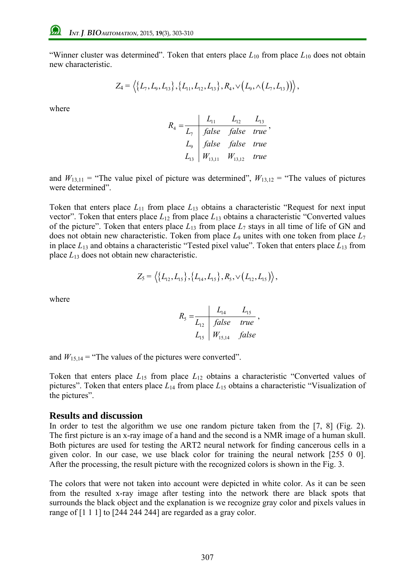"Winner cluster was determined". Token that enters place  $L_{10}$  from place  $L_{10}$  does not obtain new characteristic.

$$
Z_4 = \left\langle \left\{L_7, L_9, L_{13}\right\}, \left\{L_{11}, L_{12}, L_{13}\right\}, R_4, \sqrt{\left(L_9, \wedge \left(L_7, L_{13}\right)\right)}\right\rangle,
$$

where

$$
R_{4} = \frac{L_{11}}{L_{7}} = \frac{L_{12}}{false} = \frac{L_{13}}{false} = true
$$
  
\n
$$
L_{13} = \begin{vmatrix} false & false & true \\ W_{13,11} & W_{13,12} & true \end{vmatrix}
$$

and  $W_{13,11}$  = "The value pixel of picture was determined",  $W_{13,12}$  = "The values of pictures" were determined".

Token that enters place  $L_{11}$  from place  $L_{13}$  obtains a characteristic "Request for next input vector". Token that enters place  $L_{12}$  from place  $L_{13}$  obtains a characteristic "Converted values of the picture". Token that enters place  $L_1$ <sup>3</sup> from place  $L_7$  stays in all time of life of GN and does not obtain new characteristic. Token from place  $L_9$  unites with one token from place  $L_7$ in place  $L_{13}$  and obtains a characteristic "Tested pixel value". Token that enters place  $L_{13}$  from place *L*13 does not obtain new characteristic.

$$
Z_5 = \langle \{L_{12}, L_{15}\}, \{L_{14}, L_{15}\}, R_5, \vee (L_{12}, L_{15}) \rangle,
$$

where

$$
R_{5} = \frac{L_{14}}{L_{12}} \frac{L_{14}}{false} \frac{L_{15}}{true},
$$
  

$$
L_{15} \mid W_{15,14} \quad false
$$

and  $W_{15,14}$  = "The values of the pictures were converted".

Token that enters place  $L_{15}$  from place  $L_{12}$  obtains a characteristic "Converted values of pictures". Token that enters place *L*14 from place *L*15 obtains a characteristic "Visualization of the pictures".

#### **Results and discussion**

In order to test the algorithm we use one random picture taken from the [7, 8] (Fig. 2). The first picture is an x-ray image of a hand and the second is a NMR image of a human skull. Both pictures are used for testing the ART2 neural network for finding cancerous cells in a given color. In our case, we use black color for training the neural network [255 0 0]. After the processing, the result picture with the recognized colors is shown in the Fig. 3.

The colors that were not taken into account were depicted in white color. As it can be seen from the resulted x-ray image after testing into the network there are black spots that surrounds the black object and the explanation is we recognize gray color and pixels values in range of [1 1 1] to [244 244 244] are regarded as a gray color.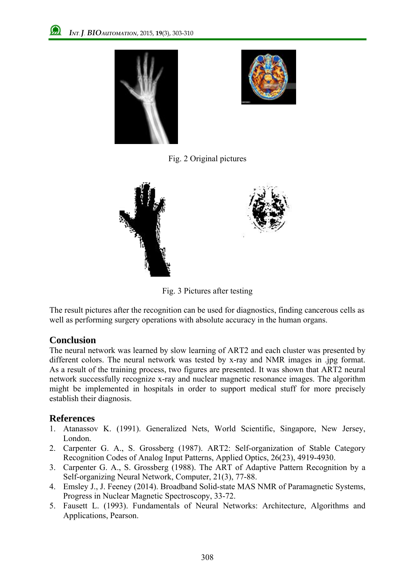



Fig. 2 Original pictures



Fig. 3 Pictures after testing

The result pictures after the recognition can be used for diagnostics, finding cancerous cells as well as performing surgery operations with absolute accuracy in the human organs.

## **Conclusion**

The neural network was learned by slow learning of ART2 and each cluster was presented by different colors. The neural network was tested by x-ray and NMR images in .jpg format. As a result of the training process, two figures are presented. It was shown that ART2 neural network successfully recognize x-ray and nuclear magnetic resonance images. The algorithm might be implemented in hospitals in order to support medical stuff for more precisely establish their diagnosis.

# **References**

- 1. Atanassov K. (1991). Generalized Nets, World Scientific, Singapore, New Jersey, London.
- 2. Carpenter G. A., S. Grossberg (1987). ART2: Self-organization of Stable Category Recognition Codes of Analog Input Patterns, Applied Optics, 26(23), 4919-4930.
- 3. Carpenter G. A., S. Grossberg (1988). The ART of Adaptive Pattern Recognition by a Self-organizing Neural Network, Computer, 21(3), 77-88.
- 4. Emsley J., J. Feeney (2014). Broadband Solid-state MAS NMR of Paramagnetic Systems, Progress in Nuclear Magnetic Spectroscopy, 33-72.
- 5. Fausett L. (1993). Fundamentals of Neural Networks: Architecture, Algorithms and Applications, Pearson.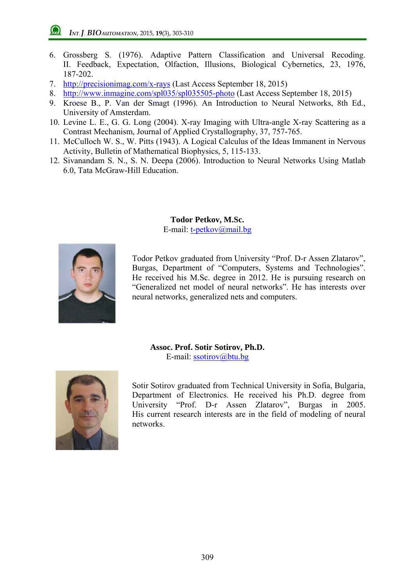- 6. Grossberg S. (1976). Adaptive Pattern Classification and Universal Recoding. II. Feedback, Expectation, Olfaction, Illusions, Biological Cybernetics, 23, 1976, 187-202.
- 7. http://precisionimag.com/x-rays (Last Access September 18, 2015)
- 8. http://www.inmagine.com/spl035/spl035505-photo (Last Access September 18, 2015)
- 9. Kroese B., P. Van der Smagt (1996). An Introduction to Neural Networks, 8th Ed., University of Amsterdam.
- 10. Levine L. E., G. G. Long (2004). X-ray Imaging with Ultra-angle X-ray Scattering as a Contrast Mechanism, Journal of Applied Crystallography, 37, 757-765.
- 11. McCulloch W. S., W. Pitts (1943). A Logical Calculus of the Ideas Immanent in Nervous Activity, Bulletin of Mathematical Biophysics, 5, 115-133.
- 12. Sivanandam S. N., S. N. Deepa (2006). Introduction to Neural Networks Using Matlab 6.0, Tata McGraw-Hill Education.

**Todor Petkov, M.Sc.**

E-mail: t-petkov@mail.bg



Todor Petkov graduated from University "Prof. D-r Assen Zlatarov", Burgas, Department of "Computers, Systems and Technologies". He received his M.Sc. degree in 2012. He is pursuing research on "Generalized net model of neural networks". He has interests over neural networks, generalized nets and computers.

**Assoc. Prof. Sotir Sotirov, Ph.D.** E-mail: ssotirov@btu.bg



Sotir Sotirov graduated from Technical University in Sofia, Bulgaria, Department of Electronics. He received his Ph.D. degree from University "Prof. D-r Assen Zlatarov", Burgas in 2005. His current research interests are in the field of modeling of neural networks.